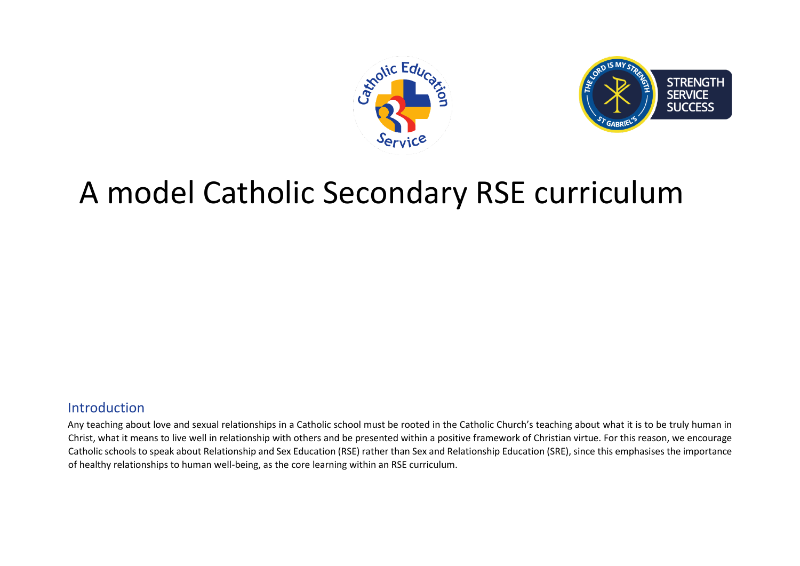



# A model Catholic Secondary RSE curriculum

# Introduction

Any teaching about love and sexual relationships in a Catholic school must be rooted in the Catholic Church's teaching about what it is to be truly human in Christ, what it means to live well in relationship with others and be presented within a positive framework of Christian virtue. For this reason, we encourage Catholic schools to speak about Relationship and Sex Education (RSE) rather than Sex and Relationship Education (SRE), since this emphasises the importance of healthy relationships to human well-being, as the core learning within an RSE curriculum.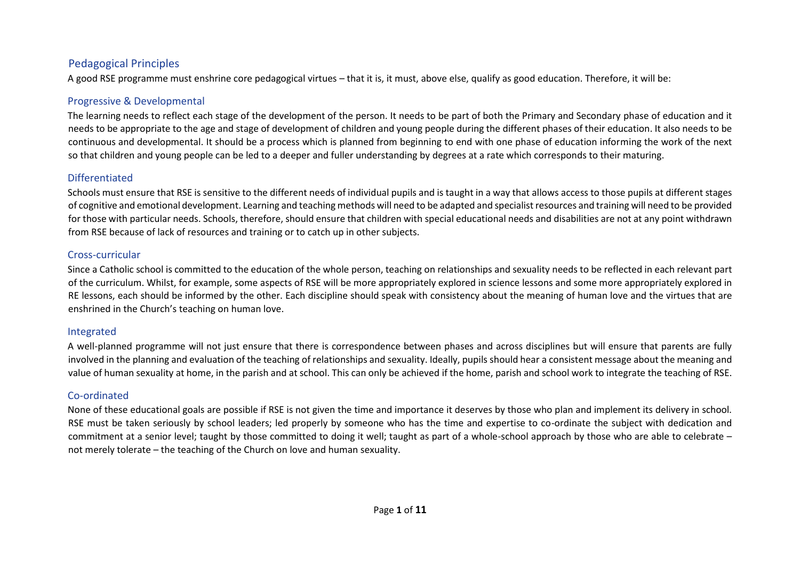## Pedagogical Principles

A good RSE programme must enshrine core pedagogical virtues – that it is, it must, above else, qualify as good education. Therefore, it will be:

## Progressive & Developmental

The learning needs to reflect each stage of the development of the person. It needs to be part of both the Primary and Secondary phase of education and it needs to be appropriate to the age and stage of development of children and young people during the different phases of their education. It also needs to be continuous and developmental. It should be a process which is planned from beginning to end with one phase of education informing the work of the next so that children and young people can be led to a deeper and fuller understanding by degrees at a rate which corresponds to their maturing.

#### Differentiated

Schools must ensure that RSE is sensitive to the different needs of individual pupils and is taught in a way that allows access to those pupils at different stages of cognitive and emotional development. Learning and teaching methods will need to be adapted and specialist resources and training will need to be provided for those with particular needs. Schools, therefore, should ensure that children with special educational needs and disabilities are not at any point withdrawn from RSE because of lack of resources and training or to catch up in other subjects.

#### Cross-curricular

Since a Catholic school is committed to the education of the whole person, teaching on relationships and sexuality needs to be reflected in each relevant part of the curriculum. Whilst, for example, some aspects of RSE will be more appropriately explored in science lessons and some more appropriately explored in RE lessons, each should be informed by the other. Each discipline should speak with consistency about the meaning of human love and the virtues that are enshrined in the Church's teaching on human love.

## Integrated

A well-planned programme will not just ensure that there is correspondence between phases and across disciplines but will ensure that parents are fully involved in the planning and evaluation of the teaching of relationships and sexuality. Ideally, pupils should hear a consistent message about the meaning and value of human sexuality at home, in the parish and at school. This can only be achieved if the home, parish and school work to integrate the teaching of RSE.

#### Co-ordinated

None of these educational goals are possible if RSE is not given the time and importance it deserves by those who plan and implement its delivery in school. RSE must be taken seriously by school leaders; led properly by someone who has the time and expertise to co-ordinate the subject with dedication and commitment at a senior level; taught by those committed to doing it well; taught as part of a whole-school approach by those who are able to celebrate – not merely tolerate – the teaching of the Church on love and human sexuality.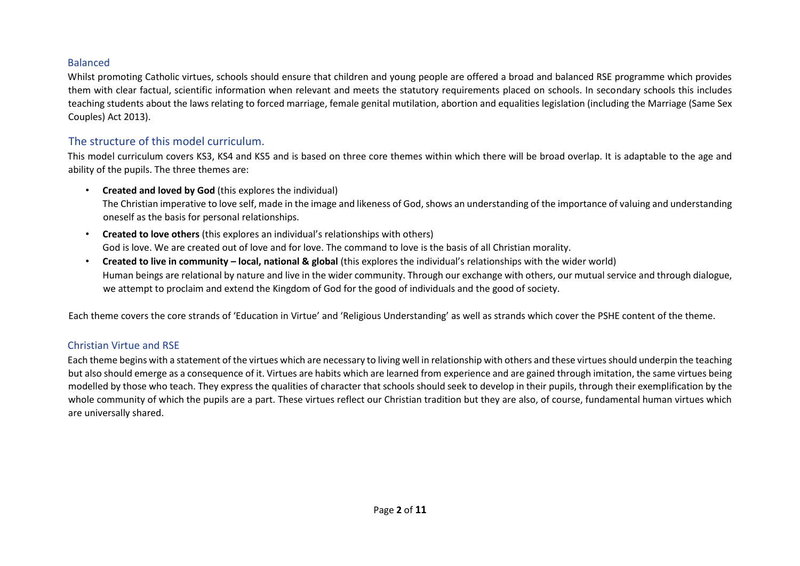#### Balanced

Whilst promoting Catholic virtues, schools should ensure that children and young people are offered a broad and balanced RSE programme which provides them with clear factual, scientific information when relevant and meets the statutory requirements placed on schools. In secondary schools this includes teaching students about the laws relating to forced marriage, female genital mutilation, abortion and equalities legislation (including the Marriage (Same Sex Couples) Act 2013).

# The structure of this model curriculum.

This model curriculum covers KS3, KS4 and KS5 and is based on three core themes within which there will be broad overlap. It is adaptable to the age and ability of the pupils. The three themes are:

- **Created and loved by God** (this explores the individual) The Christian imperative to love self, made in the image and likeness of God, shows an understanding of the importance of valuing and understanding oneself as the basis for personal relationships.
- **Created to love others** (this explores an individual's relationships with others) God is love. We are created out of love and for love. The command to love is the basis of all Christian morality.
- **Created to live in community – local, national & global** (this explores the individual's relationships with the wider world) Human beings are relational by nature and live in the wider community. Through our exchange with others, our mutual service and through dialogue, we attempt to proclaim and extend the Kingdom of God for the good of individuals and the good of society.

Each theme covers the core strands of 'Education in Virtue' and 'Religious Understanding' as well as strands which cover the PSHE content of the theme.

#### Christian Virtue and RSE

Each theme begins with a statement of the virtues which are necessary to living well in relationship with others and these virtues should underpin the teaching but also should emerge as a consequence of it. Virtues are habits which are learned from experience and are gained through imitation, the same virtues being modelled by those who teach. They express the qualities of character that schools should seek to develop in their pupils, through their exemplification by the whole community of which the pupils are a part. These virtues reflect our Christian tradition but they are also, of course, fundamental human virtues which are universally shared.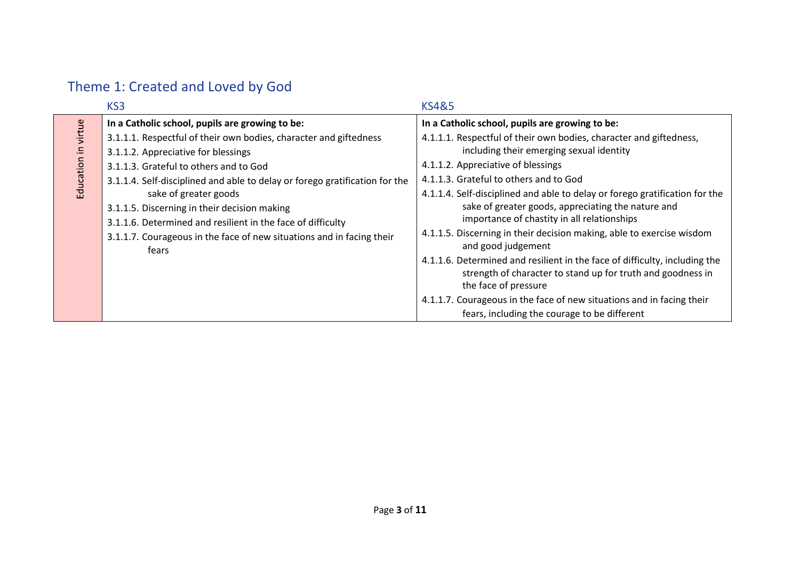# Theme 1: Created and Loved by God

|             | KS3                                                                                                                                                                                                                                                                                                   | <b>KS4&amp;5</b>                                                                                                                                                                                                                                                                                                                                                                                                                                                                                                                                                                                                        |
|-------------|-------------------------------------------------------------------------------------------------------------------------------------------------------------------------------------------------------------------------------------------------------------------------------------------------------|-------------------------------------------------------------------------------------------------------------------------------------------------------------------------------------------------------------------------------------------------------------------------------------------------------------------------------------------------------------------------------------------------------------------------------------------------------------------------------------------------------------------------------------------------------------------------------------------------------------------------|
| virtue<br>Ξ | In a Catholic school, pupils are growing to be:<br>3.1.1.1. Respectful of their own bodies, character and giftedness<br>3.1.1.2. Appreciative for blessings<br>3.1.1.3. Grateful to others and to God                                                                                                 | In a Catholic school, pupils are growing to be:<br>4.1.1.1. Respectful of their own bodies, character and giftedness,<br>including their emerging sexual identity<br>4.1.1.2. Appreciative of blessings                                                                                                                                                                                                                                                                                                                                                                                                                 |
| Education   | 3.1.1.4. Self-disciplined and able to delay or forego gratification for the<br>sake of greater goods<br>3.1.1.5. Discerning in their decision making<br>3.1.1.6. Determined and resilient in the face of difficulty<br>3.1.1.7. Courageous in the face of new situations and in facing their<br>fears | 4.1.1.3. Grateful to others and to God<br>4.1.1.4. Self-disciplined and able to delay or forego gratification for the<br>sake of greater goods, appreciating the nature and<br>importance of chastity in all relationships<br>4.1.1.5. Discerning in their decision making, able to exercise wisdom<br>and good judgement<br>4.1.1.6. Determined and resilient in the face of difficulty, including the<br>strength of character to stand up for truth and goodness in<br>the face of pressure<br>4.1.1.7. Courageous in the face of new situations and in facing their<br>fears, including the courage to be different |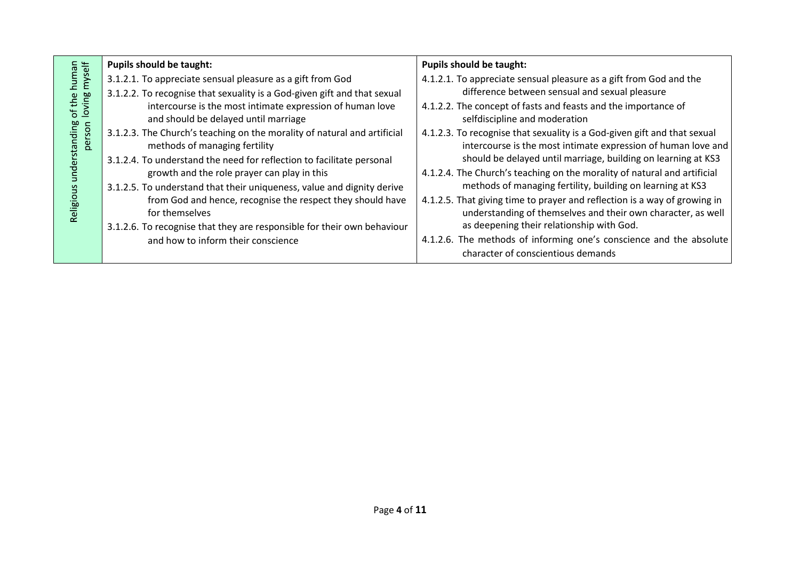|                                                                                   | <b>Pupils should be taught:</b>                                                                                                        | <b>Pupils should be taught:</b>                                                                                                           |
|-----------------------------------------------------------------------------------|----------------------------------------------------------------------------------------------------------------------------------------|-------------------------------------------------------------------------------------------------------------------------------------------|
| human<br>s myself<br>loving<br>ုမ<br>of tl<br>nding<br>person<br>rstar<br>Religio | 3.1.2.1. To appreciate sensual pleasure as a gift from God<br>3.1.2.2. To recognise that sexuality is a God-given gift and that sexual | 4.1.2.1. To appreciate sensual pleasure as a gift from God and the<br>difference between sensual and sexual pleasure                      |
|                                                                                   | intercourse is the most intimate expression of human love<br>and should be delayed until marriage                                      | 4.1.2.2. The concept of fasts and feasts and the importance of<br>selfdiscipline and moderation                                           |
|                                                                                   | 3.1.2.3. The Church's teaching on the morality of natural and artificial<br>methods of managing fertility                              | 4.1.2.3. To recognise that sexuality is a God-given gift and that sexual<br>intercourse is the most intimate expression of human love and |
|                                                                                   | 3.1.2.4. To understand the need for reflection to facilitate personal                                                                  | should be delayed until marriage, building on learning at KS3                                                                             |
|                                                                                   | growth and the role prayer can play in this<br>3.1.2.5. To understand that their uniqueness, value and dignity derive                  | 4.1.2.4. The Church's teaching on the morality of natural and artificial<br>methods of managing fertility, building on learning at KS3    |
|                                                                                   | from God and hence, recognise the respect they should have<br>for themselves                                                           | 4.1.2.5. That giving time to prayer and reflection is a way of growing in<br>understanding of themselves and their own character, as well |
|                                                                                   | 3.1.2.6. To recognise that they are responsible for their own behaviour                                                                | as deepening their relationship with God.                                                                                                 |
|                                                                                   | and how to inform their conscience                                                                                                     | 4.1.2.6. The methods of informing one's conscience and the absolute<br>character of conscientious demands                                 |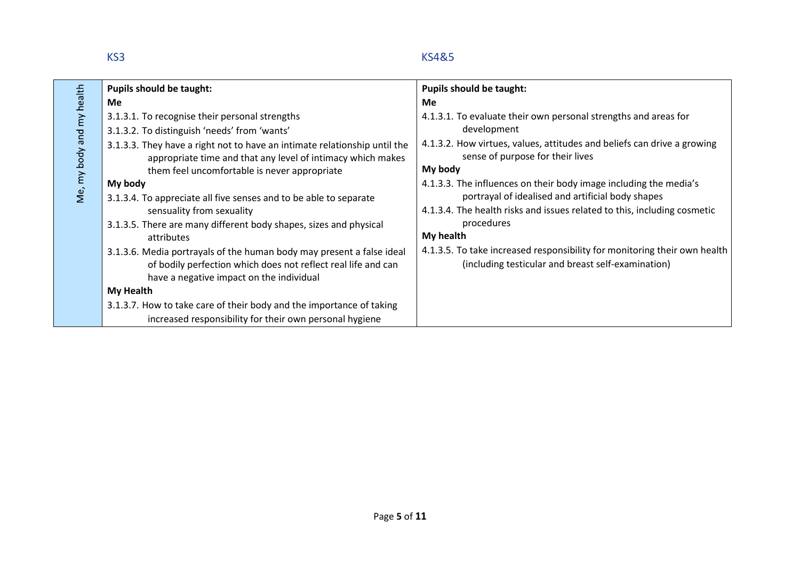# KS3 KS4&5

|                | <b>Pupils should be taught:</b>                                                                                                                                                                                                          | <b>Pupils should be taught:</b>                                                                                                                                                                    |
|----------------|------------------------------------------------------------------------------------------------------------------------------------------------------------------------------------------------------------------------------------------|----------------------------------------------------------------------------------------------------------------------------------------------------------------------------------------------------|
| health         | Me                                                                                                                                                                                                                                       | Me                                                                                                                                                                                                 |
|                | 3.1.3.1. To recognise their personal strengths                                                                                                                                                                                           | 4.1.3.1. To evaluate their own personal strengths and areas for<br>development                                                                                                                     |
| my body and my | 3.1.3.2. To distinguish 'needs' from 'wants'<br>3.1.3.3. They have a right not to have an intimate relationship until the<br>appropriate time and that any level of intimacy which makes<br>them feel uncomfortable is never appropriate | 4.1.3.2. How virtues, values, attitudes and beliefs can drive a growing<br>sense of purpose for their lives<br>My body                                                                             |
| Ne,            | My body<br>3.1.3.4. To appreciate all five senses and to be able to separate<br>sensuality from sexuality                                                                                                                                | 4.1.3.3. The influences on their body image including the media's<br>portrayal of idealised and artificial body shapes<br>4.1.3.4. The health risks and issues related to this, including cosmetic |
|                | 3.1.3.5. There are many different body shapes, sizes and physical<br>attributes                                                                                                                                                          | procedures<br>My health                                                                                                                                                                            |
|                | 3.1.3.6. Media portrayals of the human body may present a false ideal<br>of bodily perfection which does not reflect real life and can<br>have a negative impact on the individual                                                       | 4.1.3.5. To take increased responsibility for monitoring their own health<br>(including testicular and breast self-examination)                                                                    |
|                | <b>My Health</b>                                                                                                                                                                                                                         |                                                                                                                                                                                                    |
|                | 3.1.3.7. How to take care of their body and the importance of taking                                                                                                                                                                     |                                                                                                                                                                                                    |
|                | increased responsibility for their own personal hygiene                                                                                                                                                                                  |                                                                                                                                                                                                    |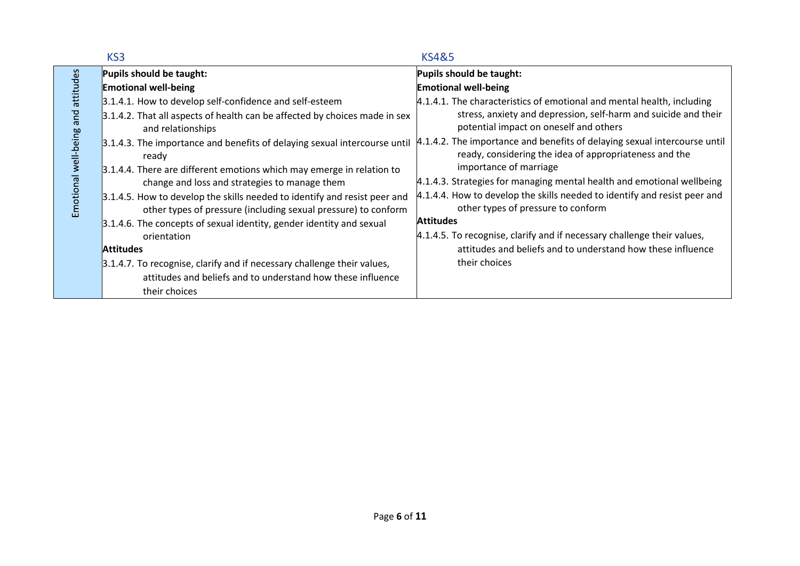|                                    | KS3                                                                                                                                         | <b>KS4&amp;5</b>                                                                                                                    |
|------------------------------------|---------------------------------------------------------------------------------------------------------------------------------------------|-------------------------------------------------------------------------------------------------------------------------------------|
|                                    | Pupils should be taught:                                                                                                                    | Pupils should be taught:                                                                                                            |
|                                    | <b>Emotional well-being</b>                                                                                                                 | <b>Emotional well-being</b>                                                                                                         |
|                                    | 3.1.4.1. How to develop self-confidence and self-esteem                                                                                     | $4.1.4.1$ . The characteristics of emotional and mental health, including                                                           |
|                                    | 3.1.4.2. That all aspects of health can be affected by choices made in sex<br>and relationships                                             | stress, anxiety and depression, self-harm and suicide and their<br>potential impact on oneself and others                           |
| Emotional well-being and attitudes | 3.1.4.3. The importance and benefits of delaying sexual intercourse until<br>ready                                                          | 4.1.4.2. The importance and benefits of delaying sexual intercourse until<br>ready, considering the idea of appropriateness and the |
|                                    | 3.1.4.4. There are different emotions which may emerge in relation to                                                                       | importance of marriage                                                                                                              |
|                                    | change and loss and strategies to manage them                                                                                               | 4.1.4.3. Strategies for managing mental health and emotional wellbeing                                                              |
|                                    | 3.1.4.5. How to develop the skills needed to identify and resist peer and<br>other types of pressure (including sexual pressure) to conform | 4.1.4.4. How to develop the skills needed to identify and resist peer and<br>other types of pressure to conform                     |
|                                    | 3.1.4.6. The concepts of sexual identity, gender identity and sexual                                                                        | <b>Attitudes</b>                                                                                                                    |
|                                    | orientation                                                                                                                                 | 4.1.4.5. To recognise, clarify and if necessary challenge their values,                                                             |
|                                    | <b>Attitudes</b>                                                                                                                            | attitudes and beliefs and to understand how these influence                                                                         |
|                                    | 3.1.4.7. To recognise, clarify and if necessary challenge their values,                                                                     | their choices                                                                                                                       |
|                                    | attitudes and beliefs and to understand how these influence                                                                                 |                                                                                                                                     |
|                                    | their choices                                                                                                                               |                                                                                                                                     |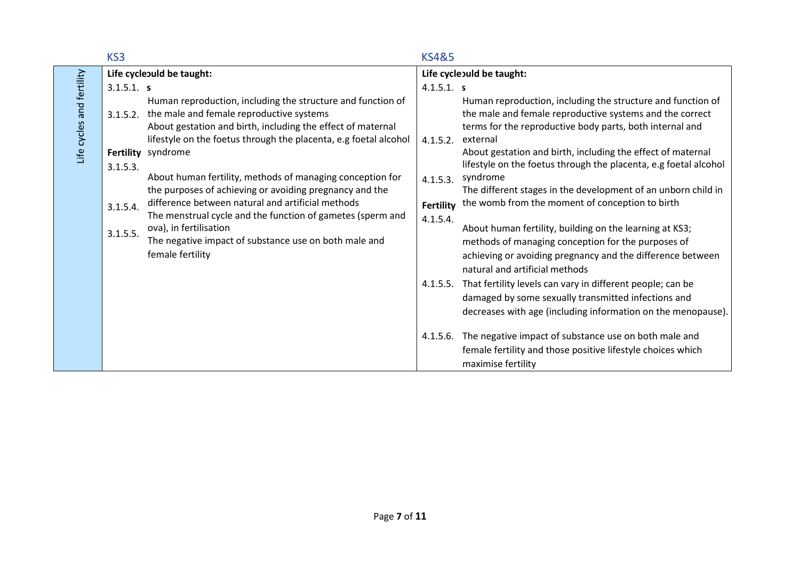|                         | KS3                                          |                                                                                                                                                                                                                                                                                                                                                                                                                                                                                                                                                                                                                    | <b>KS4&amp;5</b>                                                 |                                                                                                                                                                                                                                                                                                                                                                                                                                                                                                                                                                                                                                                                                                                                                   |
|-------------------------|----------------------------------------------|--------------------------------------------------------------------------------------------------------------------------------------------------------------------------------------------------------------------------------------------------------------------------------------------------------------------------------------------------------------------------------------------------------------------------------------------------------------------------------------------------------------------------------------------------------------------------------------------------------------------|------------------------------------------------------------------|---------------------------------------------------------------------------------------------------------------------------------------------------------------------------------------------------------------------------------------------------------------------------------------------------------------------------------------------------------------------------------------------------------------------------------------------------------------------------------------------------------------------------------------------------------------------------------------------------------------------------------------------------------------------------------------------------------------------------------------------------|
|                         |                                              | Life cycleould be taught:                                                                                                                                                                                                                                                                                                                                                                                                                                                                                                                                                                                          |                                                                  | Life cycleould be taught:                                                                                                                                                                                                                                                                                                                                                                                                                                                                                                                                                                                                                                                                                                                         |
|                         | 3.1.5.1. s                                   |                                                                                                                                                                                                                                                                                                                                                                                                                                                                                                                                                                                                                    | 4.1.5.1. s                                                       |                                                                                                                                                                                                                                                                                                                                                                                                                                                                                                                                                                                                                                                                                                                                                   |
| Life cycles and refully | 3.1.5.2.<br>3.1.5.3.<br>3.1.5.4.<br>3.1.5.5. | Human reproduction, including the structure and function of<br>the male and female reproductive systems<br>About gestation and birth, including the effect of maternal<br>lifestyle on the foetus through the placenta, e.g foetal alcohol<br>Fertility syndrome<br>About human fertility, methods of managing conception for<br>the purposes of achieving or avoiding pregnancy and the<br>difference between natural and artificial methods<br>The menstrual cycle and the function of gametes (sperm and<br>ova), in fertilisation<br>The negative impact of substance use on both male and<br>female fertility | 4.1.5.2.<br>4.1.5.3.<br><b>Fertility</b><br>4.1.5.4.<br>4.1.5.5. | Human reproduction, including the structure and function of<br>the male and female reproductive systems and the correct<br>terms for the reproductive body parts, both internal and<br>external<br>About gestation and birth, including the effect of maternal<br>lifestyle on the foetus through the placenta, e.g foetal alcohol<br>syndrome<br>The different stages in the development of an unborn child in<br>the womb from the moment of conception to birth<br>About human fertility, building on the learning at KS3;<br>methods of managing conception for the purposes of<br>achieving or avoiding pregnancy and the difference between<br>natural and artificial methods<br>That fertility levels can vary in different people; can be |
|                         |                                              |                                                                                                                                                                                                                                                                                                                                                                                                                                                                                                                                                                                                                    |                                                                  | damaged by some sexually transmitted infections and<br>decreases with age (including information on the menopause).                                                                                                                                                                                                                                                                                                                                                                                                                                                                                                                                                                                                                               |
|                         |                                              |                                                                                                                                                                                                                                                                                                                                                                                                                                                                                                                                                                                                                    | 4.1.5.6.                                                         | The negative impact of substance use on both male and<br>female fertility and those positive lifestyle choices which<br>maximise fertility                                                                                                                                                                                                                                                                                                                                                                                                                                                                                                                                                                                                        |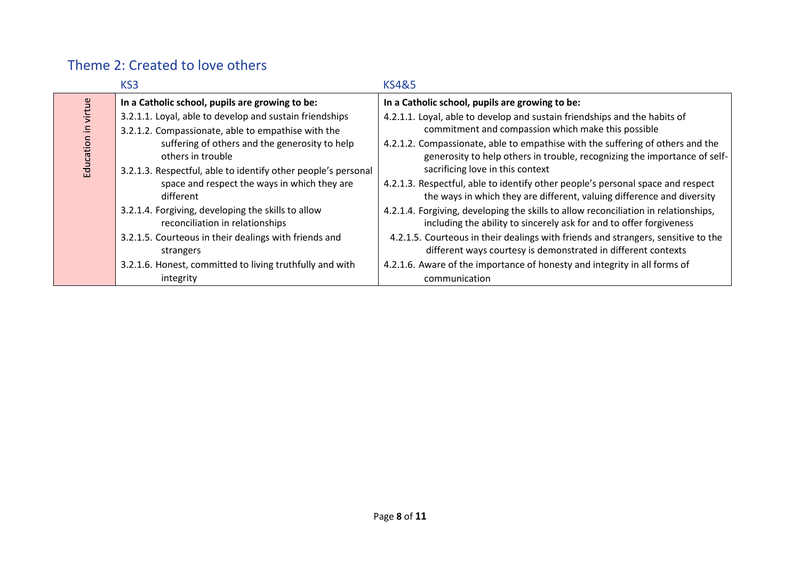# Theme 2: Created to love others

|          | KS <sub>3</sub>                                                                                                                      | <b>KS4&amp;5</b>                                                                                                                                                                                |
|----------|--------------------------------------------------------------------------------------------------------------------------------------|-------------------------------------------------------------------------------------------------------------------------------------------------------------------------------------------------|
|          | In a Catholic school, pupils are growing to be:                                                                                      | In a Catholic school, pupils are growing to be:                                                                                                                                                 |
| virtue   | 3.2.1.1. Loyal, able to develop and sustain friendships<br>3.2.1.2. Compassionate, able to empathise with the                        | 4.2.1.1. Loyal, able to develop and sustain friendships and the habits of<br>commitment and compassion which make this possible                                                                 |
| Educatio | suffering of others and the generosity to help<br>others in trouble<br>3.2.1.3. Respectful, able to identify other people's personal | 4.2.1.2. Compassionate, able to empathise with the suffering of others and the<br>generosity to help others in trouble, recognizing the importance of self-<br>sacrificing love in this context |
|          | space and respect the ways in which they are<br>different                                                                            | 4.2.1.3. Respectful, able to identify other people's personal space and respect<br>the ways in which they are different, valuing difference and diversity                                       |
|          | 3.2.1.4. Forgiving, developing the skills to allow<br>reconciliation in relationships                                                | 4.2.1.4. Forgiving, developing the skills to allow reconciliation in relationships,<br>including the ability to sincerely ask for and to offer forgiveness                                      |
|          | 3.2.1.5. Courteous in their dealings with friends and<br>strangers                                                                   | 4.2.1.5. Courteous in their dealings with friends and strangers, sensitive to the<br>different ways courtesy is demonstrated in different contexts                                              |
|          | 3.2.1.6. Honest, committed to living truthfully and with                                                                             | 4.2.1.6. Aware of the importance of honesty and integrity in all forms of                                                                                                                       |
|          | integrity                                                                                                                            | communication                                                                                                                                                                                   |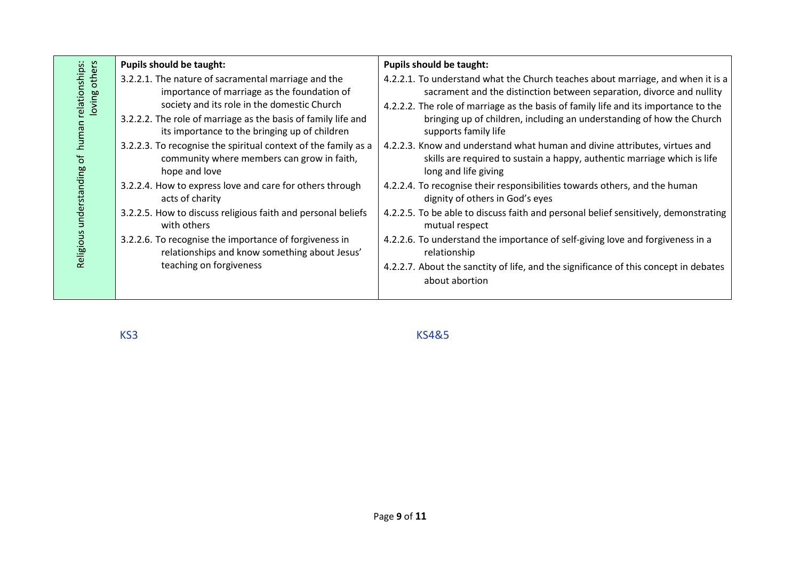|                                                                                                 | <b>Pupils should be taught:</b>                                                                                                                                                                                                                                                                                                                                                                                                                                                                                                                                                                                                                                                                          | <b>Pupils should be taught:</b>                                                                                                                                                                                                                                                                                                                                                                                                                                                                                                                                                                                                                                                                                                                                                                                                                                                                                                                                          |
|-------------------------------------------------------------------------------------------------|----------------------------------------------------------------------------------------------------------------------------------------------------------------------------------------------------------------------------------------------------------------------------------------------------------------------------------------------------------------------------------------------------------------------------------------------------------------------------------------------------------------------------------------------------------------------------------------------------------------------------------------------------------------------------------------------------------|--------------------------------------------------------------------------------------------------------------------------------------------------------------------------------------------------------------------------------------------------------------------------------------------------------------------------------------------------------------------------------------------------------------------------------------------------------------------------------------------------------------------------------------------------------------------------------------------------------------------------------------------------------------------------------------------------------------------------------------------------------------------------------------------------------------------------------------------------------------------------------------------------------------------------------------------------------------------------|
| n relationships:<br>loving others<br>human<br>$\overline{\sigma}$<br>understanding<br>Religious | 3.2.2.1. The nature of sacramental marriage and the<br>importance of marriage as the foundation of<br>society and its role in the domestic Church<br>3.2.2.2. The role of marriage as the basis of family life and<br>its importance to the bringing up of children<br>3.2.2.3. To recognise the spiritual context of the family as a<br>community where members can grow in faith,<br>hope and love<br>3.2.2.4. How to express love and care for others through<br>acts of charity<br>3.2.2.5. How to discuss religious faith and personal beliefs<br>with others<br>3.2.2.6. To recognise the importance of forgiveness in<br>relationships and know something about Jesus'<br>teaching on forgiveness | 4.2.2.1. To understand what the Church teaches about marriage, and when it is a<br>sacrament and the distinction between separation, divorce and nullity<br>4.2.2.2. The role of marriage as the basis of family life and its importance to the<br>bringing up of children, including an understanding of how the Church<br>supports family life<br>4.2.2.3. Know and understand what human and divine attributes, virtues and<br>skills are required to sustain a happy, authentic marriage which is life<br>long and life giving<br>4.2.2.4. To recognise their responsibilities towards others, and the human<br>dignity of others in God's eyes<br>4.2.2.5. To be able to discuss faith and personal belief sensitively, demonstrating<br>mutual respect<br>4.2.2.6. To understand the importance of self-giving love and forgiveness in a<br>relationship<br>4.2.2.7. About the sanctity of life, and the significance of this concept in debates<br>about abortion |
|                                                                                                 |                                                                                                                                                                                                                                                                                                                                                                                                                                                                                                                                                                                                                                                                                                          |                                                                                                                                                                                                                                                                                                                                                                                                                                                                                                                                                                                                                                                                                                                                                                                                                                                                                                                                                                          |

KS3 KS4&5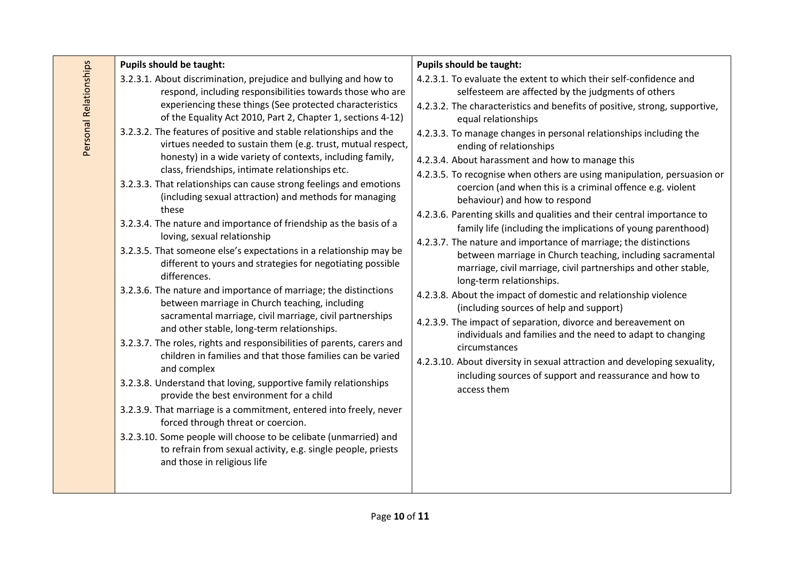| <b>Pupils should be taught:</b>                                                                                                                                                                                                                                                                                                                                                                                                                                                                                                                                                                                                                                                                                                                                                                                                                                                                                                                                                                                                                                                                                                                                                                                                                                                                                                    | <b>Pupils should be taught:</b>                                                                                                                                                                                                                                                                                                                                                                                                                                                                                                                                                                                                                                                                                                                                                                                                                                                                                                                                                                                                                                                                                            |
|------------------------------------------------------------------------------------------------------------------------------------------------------------------------------------------------------------------------------------------------------------------------------------------------------------------------------------------------------------------------------------------------------------------------------------------------------------------------------------------------------------------------------------------------------------------------------------------------------------------------------------------------------------------------------------------------------------------------------------------------------------------------------------------------------------------------------------------------------------------------------------------------------------------------------------------------------------------------------------------------------------------------------------------------------------------------------------------------------------------------------------------------------------------------------------------------------------------------------------------------------------------------------------------------------------------------------------|----------------------------------------------------------------------------------------------------------------------------------------------------------------------------------------------------------------------------------------------------------------------------------------------------------------------------------------------------------------------------------------------------------------------------------------------------------------------------------------------------------------------------------------------------------------------------------------------------------------------------------------------------------------------------------------------------------------------------------------------------------------------------------------------------------------------------------------------------------------------------------------------------------------------------------------------------------------------------------------------------------------------------------------------------------------------------------------------------------------------------|
| 3.2.3.1. About discrimination, prejudice and bullying and how to<br>respond, including responsibilities towards those who are                                                                                                                                                                                                                                                                                                                                                                                                                                                                                                                                                                                                                                                                                                                                                                                                                                                                                                                                                                                                                                                                                                                                                                                                      | 4.2.3.1. To evaluate the extent to which their self-confidence and<br>selfesteem are affected by the judgments of others                                                                                                                                                                                                                                                                                                                                                                                                                                                                                                                                                                                                                                                                                                                                                                                                                                                                                                                                                                                                   |
| of the Equality Act 2010, Part 2, Chapter 1, sections 4-12)                                                                                                                                                                                                                                                                                                                                                                                                                                                                                                                                                                                                                                                                                                                                                                                                                                                                                                                                                                                                                                                                                                                                                                                                                                                                        | 4.2.3.2. The characteristics and benefits of positive, strong, supportive,<br>equal relationships                                                                                                                                                                                                                                                                                                                                                                                                                                                                                                                                                                                                                                                                                                                                                                                                                                                                                                                                                                                                                          |
| experiencing these things (See protected characteristics<br>3.2.3.2. The features of positive and stable relationships and the<br>virtues needed to sustain them (e.g. trust, mutual respect,<br>honesty) in a wide variety of contexts, including family,<br>class, friendships, intimate relationships etc.<br>3.2.3.3. That relationships can cause strong feelings and emotions<br>(including sexual attraction) and methods for managing<br>these<br>3.2.3.4. The nature and importance of friendship as the basis of a<br>loving, sexual relationship<br>3.2.3.5. That someone else's expectations in a relationship may be<br>different to yours and strategies for negotiating possible<br>differences.<br>3.2.3.6. The nature and importance of marriage; the distinctions<br>between marriage in Church teaching, including<br>sacramental marriage, civil marriage, civil partnerships<br>and other stable, long-term relationships.<br>3.2.3.7. The roles, rights and responsibilities of parents, carers and<br>children in families and that those families can be varied<br>and complex<br>3.2.3.8. Understand that loving, supportive family relationships<br>provide the best environment for a child<br>3.2.3.9. That marriage is a commitment, entered into freely, never<br>forced through threat or coercion. | 4.2.3.3. To manage changes in personal relationships including the<br>ending of relationships<br>4.2.3.4. About harassment and how to manage this<br>4.2.3.5. To recognise when others are using manipulation, persuasion or<br>coercion (and when this is a criminal offence e.g. violent<br>behaviour) and how to respond<br>4.2.3.6. Parenting skills and qualities and their central importance to<br>family life (including the implications of young parenthood)<br>4.2.3.7. The nature and importance of marriage; the distinctions<br>between marriage in Church teaching, including sacramental<br>marriage, civil marriage, civil partnerships and other stable,<br>long-term relationships.<br>4.2.3.8. About the impact of domestic and relationship violence<br>(including sources of help and support)<br>4.2.3.9. The impact of separation, divorce and bereavement on<br>individuals and families and the need to adapt to changing<br>circumstances<br>4.2.3.10. About diversity in sexual attraction and developing sexuality,<br>including sources of support and reassurance and how to<br>access them |
| 3.2.3.10. Some people will choose to be celibate (unmarried) and<br>to refrain from sexual activity, e.g. single people, priests<br>and those in religious life                                                                                                                                                                                                                                                                                                                                                                                                                                                                                                                                                                                                                                                                                                                                                                                                                                                                                                                                                                                                                                                                                                                                                                    |                                                                                                                                                                                                                                                                                                                                                                                                                                                                                                                                                                                                                                                                                                                                                                                                                                                                                                                                                                                                                                                                                                                            |
|                                                                                                                                                                                                                                                                                                                                                                                                                                                                                                                                                                                                                                                                                                                                                                                                                                                                                                                                                                                                                                                                                                                                                                                                                                                                                                                                    |                                                                                                                                                                                                                                                                                                                                                                                                                                                                                                                                                                                                                                                                                                                                                                                                                                                                                                                                                                                                                                                                                                                            |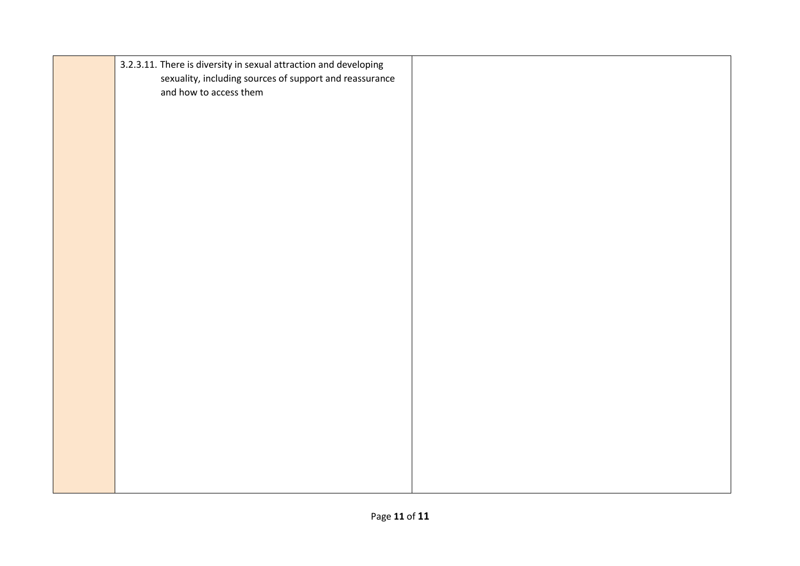| 3.2.3.11. There is diversity in sexual attraction and developing<br>sexuality, including sources of support and reassurance<br>and how to access them |  |
|-------------------------------------------------------------------------------------------------------------------------------------------------------|--|
|                                                                                                                                                       |  |
|                                                                                                                                                       |  |
|                                                                                                                                                       |  |
|                                                                                                                                                       |  |
|                                                                                                                                                       |  |
|                                                                                                                                                       |  |
|                                                                                                                                                       |  |
|                                                                                                                                                       |  |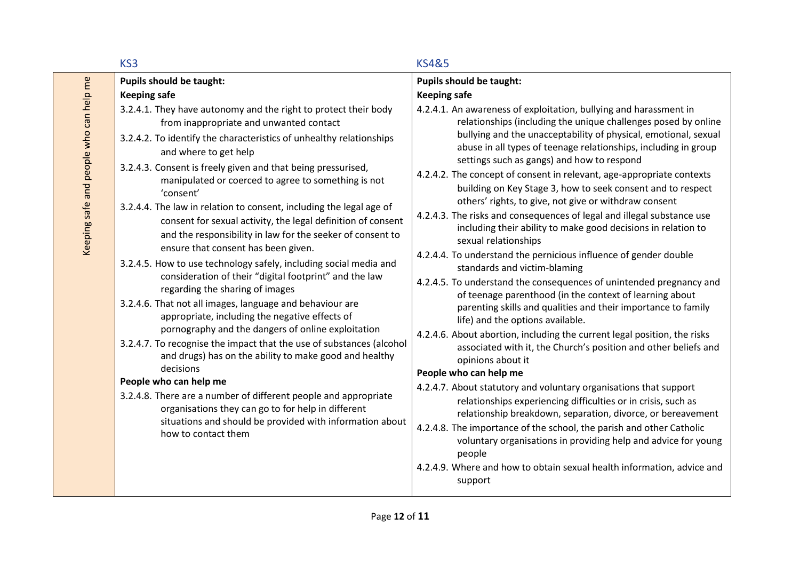|                                         | KS3                                                                                                                                                                                                                                                                                                                                                                                                                                                                                                                                                                                                                                                                                                                                                                                                                                                                                                                                                                                                                                                                                                                                                                                                                                                                                                                   | <b>KS4&amp;5</b>                                                                                                                                                                                                                                                                                                                                                                                                                                                                                                                                                                                                                                                                                                                                                                                                                                                                                                                                                                                                                                                                                                                                                                                                                                                                                                                                                                                                                                                                                                                                                                                                                                                                   |
|-----------------------------------------|-----------------------------------------------------------------------------------------------------------------------------------------------------------------------------------------------------------------------------------------------------------------------------------------------------------------------------------------------------------------------------------------------------------------------------------------------------------------------------------------------------------------------------------------------------------------------------------------------------------------------------------------------------------------------------------------------------------------------------------------------------------------------------------------------------------------------------------------------------------------------------------------------------------------------------------------------------------------------------------------------------------------------------------------------------------------------------------------------------------------------------------------------------------------------------------------------------------------------------------------------------------------------------------------------------------------------|------------------------------------------------------------------------------------------------------------------------------------------------------------------------------------------------------------------------------------------------------------------------------------------------------------------------------------------------------------------------------------------------------------------------------------------------------------------------------------------------------------------------------------------------------------------------------------------------------------------------------------------------------------------------------------------------------------------------------------------------------------------------------------------------------------------------------------------------------------------------------------------------------------------------------------------------------------------------------------------------------------------------------------------------------------------------------------------------------------------------------------------------------------------------------------------------------------------------------------------------------------------------------------------------------------------------------------------------------------------------------------------------------------------------------------------------------------------------------------------------------------------------------------------------------------------------------------------------------------------------------------------------------------------------------------|
|                                         | <b>Pupils should be taught:</b>                                                                                                                                                                                                                                                                                                                                                                                                                                                                                                                                                                                                                                                                                                                                                                                                                                                                                                                                                                                                                                                                                                                                                                                                                                                                                       | <b>Pupils should be taught:</b>                                                                                                                                                                                                                                                                                                                                                                                                                                                                                                                                                                                                                                                                                                                                                                                                                                                                                                                                                                                                                                                                                                                                                                                                                                                                                                                                                                                                                                                                                                                                                                                                                                                    |
|                                         | <b>Keeping safe</b>                                                                                                                                                                                                                                                                                                                                                                                                                                                                                                                                                                                                                                                                                                                                                                                                                                                                                                                                                                                                                                                                                                                                                                                                                                                                                                   | <b>Keeping safe</b>                                                                                                                                                                                                                                                                                                                                                                                                                                                                                                                                                                                                                                                                                                                                                                                                                                                                                                                                                                                                                                                                                                                                                                                                                                                                                                                                                                                                                                                                                                                                                                                                                                                                |
| Keeping safe and people who can help me | 3.2.4.1. They have autonomy and the right to protect their body<br>from inappropriate and unwanted contact<br>3.2.4.2. To identify the characteristics of unhealthy relationships<br>and where to get help<br>3.2.4.3. Consent is freely given and that being pressurised,<br>manipulated or coerced to agree to something is not<br>'consent'<br>3.2.4.4. The law in relation to consent, including the legal age of<br>consent for sexual activity, the legal definition of consent<br>and the responsibility in law for the seeker of consent to<br>ensure that consent has been given.<br>3.2.4.5. How to use technology safely, including social media and<br>consideration of their "digital footprint" and the law<br>regarding the sharing of images<br>3.2.4.6. That not all images, language and behaviour are<br>appropriate, including the negative effects of<br>pornography and the dangers of online exploitation<br>3.2.4.7. To recognise the impact that the use of substances (alcohol<br>and drugs) has on the ability to make good and healthy<br>decisions<br>People who can help me<br>3.2.4.8. There are a number of different people and appropriate<br>organisations they can go to for help in different<br>situations and should be provided with information about<br>how to contact them | 4.2.4.1. An awareness of exploitation, bullying and harassment in<br>relationships (including the unique challenges posed by online<br>bullying and the unacceptability of physical, emotional, sexual<br>abuse in all types of teenage relationships, including in group<br>settings such as gangs) and how to respond<br>4.2.4.2. The concept of consent in relevant, age-appropriate contexts<br>building on Key Stage 3, how to seek consent and to respect<br>others' rights, to give, not give or withdraw consent<br>4.2.4.3. The risks and consequences of legal and illegal substance use<br>including their ability to make good decisions in relation to<br>sexual relationships<br>4.2.4.4. To understand the pernicious influence of gender double<br>standards and victim-blaming<br>4.2.4.5. To understand the consequences of unintended pregnancy and<br>of teenage parenthood (in the context of learning about<br>parenting skills and qualities and their importance to family<br>life) and the options available.<br>4.2.4.6. About abortion, including the current legal position, the risks<br>associated with it, the Church's position and other beliefs and<br>opinions about it<br>People who can help me<br>4.2.4.7. About statutory and voluntary organisations that support<br>relationships experiencing difficulties or in crisis, such as<br>relationship breakdown, separation, divorce, or bereavement<br>4.2.4.8. The importance of the school, the parish and other Catholic<br>voluntary organisations in providing help and advice for young<br>people<br>4.2.4.9. Where and how to obtain sexual health information, advice and<br>support |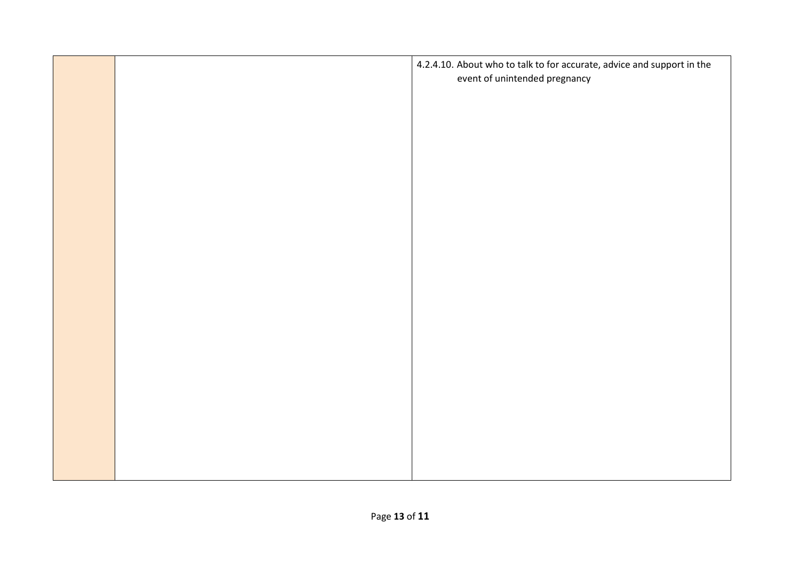|  | 4.2.4.10. About who to talk to for accurate, advice and support in the<br>event of unintended pregnancy |
|--|---------------------------------------------------------------------------------------------------------|
|  |                                                                                                         |
|  |                                                                                                         |
|  |                                                                                                         |
|  |                                                                                                         |
|  |                                                                                                         |
|  |                                                                                                         |
|  |                                                                                                         |
|  |                                                                                                         |
|  |                                                                                                         |
|  |                                                                                                         |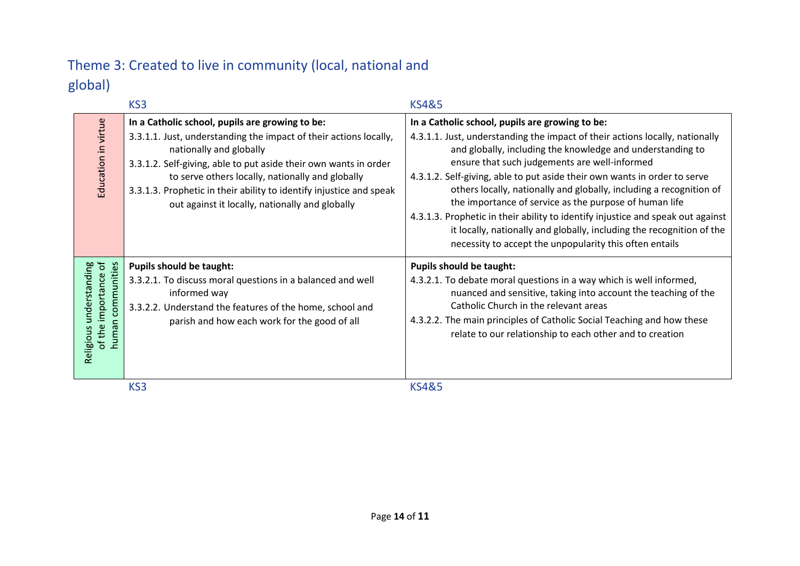# Theme 3: Created to live in community (local, national and global)

|                                                                            | KS <sub>3</sub>                                                                                                                                                                                                                                                                                                                                                                                   | <b>KS4&amp;5</b>                                                                                                                                                                                                                                                                                                                                                                                                                                                                                                                                                                                                                                                                    |
|----------------------------------------------------------------------------|---------------------------------------------------------------------------------------------------------------------------------------------------------------------------------------------------------------------------------------------------------------------------------------------------------------------------------------------------------------------------------------------------|-------------------------------------------------------------------------------------------------------------------------------------------------------------------------------------------------------------------------------------------------------------------------------------------------------------------------------------------------------------------------------------------------------------------------------------------------------------------------------------------------------------------------------------------------------------------------------------------------------------------------------------------------------------------------------------|
| Education in virtue                                                        | In a Catholic school, pupils are growing to be:<br>3.3.1.1. Just, understanding the impact of their actions locally,<br>nationally and globally<br>3.3.1.2. Self-giving, able to put aside their own wants in order<br>to serve others locally, nationally and globally<br>3.3.1.3. Prophetic in their ability to identify injustice and speak<br>out against it locally, nationally and globally | In a Catholic school, pupils are growing to be:<br>4.3.1.1. Just, understanding the impact of their actions locally, nationally<br>and globally, including the knowledge and understanding to<br>ensure that such judgements are well-informed<br>4.3.1.2. Self-giving, able to put aside their own wants in order to serve<br>others locally, nationally and globally, including a recognition of<br>the importance of service as the purpose of human life<br>4.3.1.3. Prophetic in their ability to identify injustice and speak out against<br>it locally, nationally and globally, including the recognition of the<br>necessity to accept the unpopularity this often entails |
| of the importance of<br>communities<br>understanding<br>human<br>Religious | <b>Pupils should be taught:</b><br>3.3.2.1. To discuss moral questions in a balanced and well<br>informed way<br>3.3.2.2. Understand the features of the home, school and<br>parish and how each work for the good of all                                                                                                                                                                         | <b>Pupils should be taught:</b><br>4.3.2.1. To debate moral questions in a way which is well informed,<br>nuanced and sensitive, taking into account the teaching of the<br>Catholic Church in the relevant areas<br>4.3.2.2. The main principles of Catholic Social Teaching and how these<br>relate to our relationship to each other and to creation                                                                                                                                                                                                                                                                                                                             |
|                                                                            | KS <sub>3</sub>                                                                                                                                                                                                                                                                                                                                                                                   | <b>KS4&amp;5</b>                                                                                                                                                                                                                                                                                                                                                                                                                                                                                                                                                                                                                                                                    |